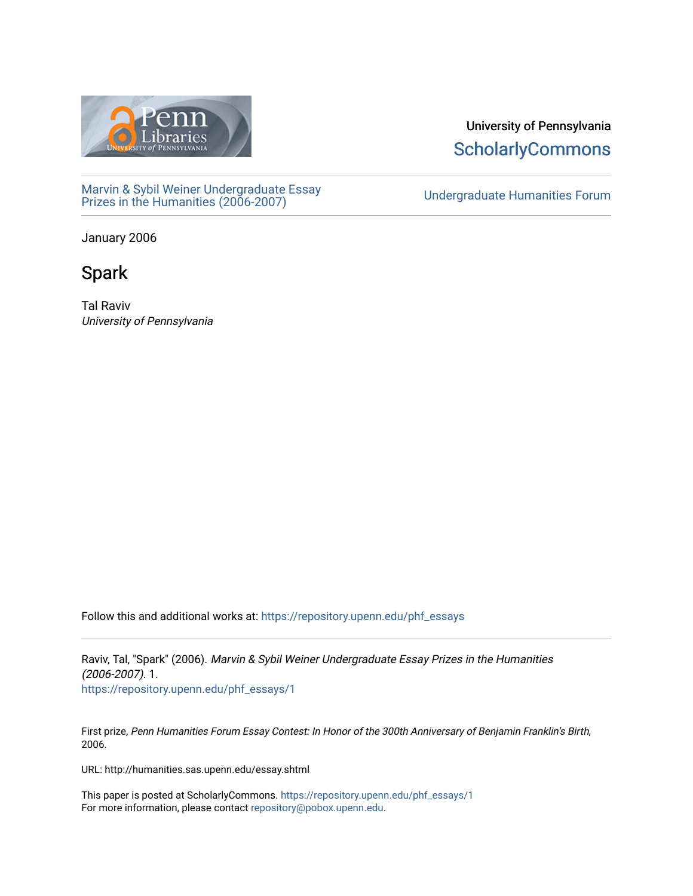

[Marvin & Sybil Weiner Undergraduate Essay](https://repository.upenn.edu/phf_essays)  [Prizes in the Humanities \(2006-2007\)](https://repository.upenn.edu/phf_essays) [Undergraduate Humanities Forum](https://repository.upenn.edu/undergrad_hum_forum) 

University of Pennsylvania **ScholarlyCommons** 

January 2006

# Spark

Tal Raviv University of Pennsylvania

Follow this and additional works at: [https://repository.upenn.edu/phf\\_essays](https://repository.upenn.edu/phf_essays?utm_source=repository.upenn.edu%2Fphf_essays%2F1&utm_medium=PDF&utm_campaign=PDFCoverPages) 

Raviv, Tal, "Spark" (2006). Marvin & Sybil Weiner Undergraduate Essay Prizes in the Humanities (2006-2007). 1. [https://repository.upenn.edu/phf\\_essays/1](https://repository.upenn.edu/phf_essays/1?utm_source=repository.upenn.edu%2Fphf_essays%2F1&utm_medium=PDF&utm_campaign=PDFCoverPages)

First prize, Penn Humanities Forum Essay Contest: In Honor of the 300th Anniversary of Benjamin Franklin's Birth, 2006.

URL: http://humanities.sas.upenn.edu/essay.shtml

This paper is posted at ScholarlyCommons. [https://repository.upenn.edu/phf\\_essays/1](https://repository.upenn.edu/phf_essays/1)  For more information, please contact [repository@pobox.upenn.edu.](mailto:repository@pobox.upenn.edu)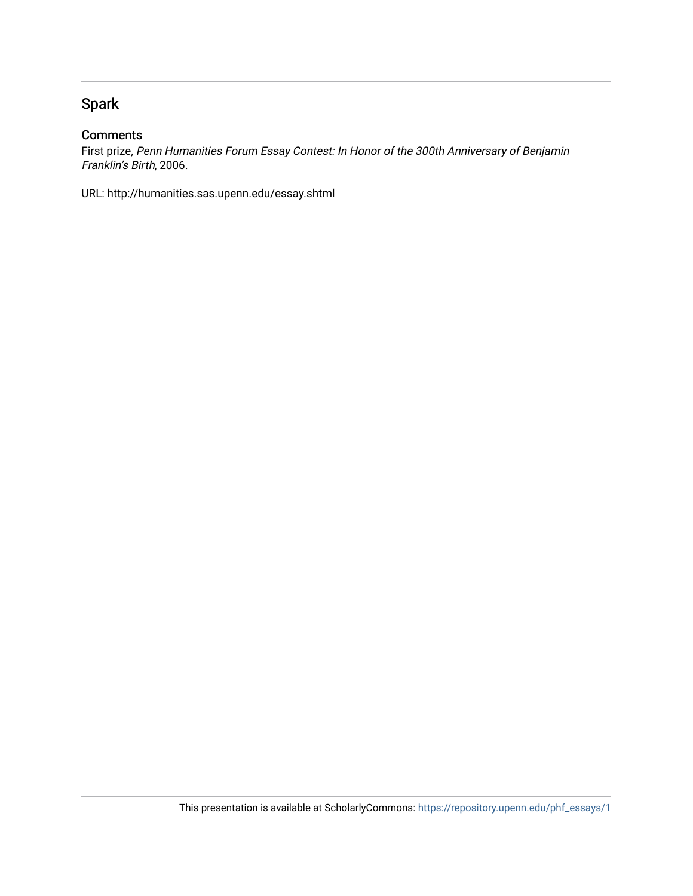## Spark

#### **Comments**

First prize, Penn Humanities Forum Essay Contest: In Honor of the 300th Anniversary of Benjamin Franklin's Birth, 2006.

URL: http://humanities.sas.upenn.edu/essay.shtml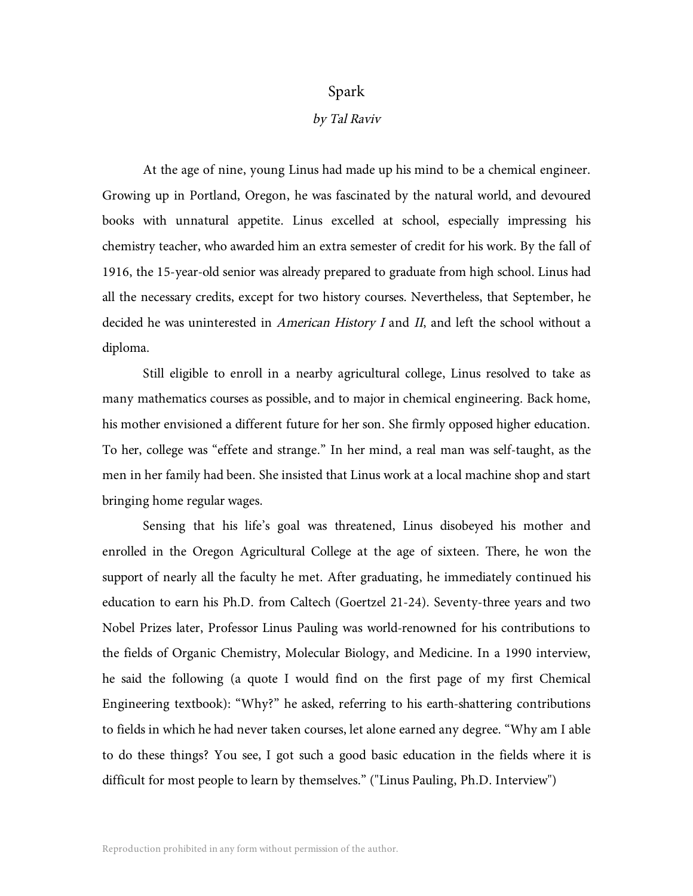### Spark

#### by Tal Raviv

At the age of nine, young Linus had made up his mind to be a chemical engineer. Growing up in Portland, Oregon, he was fascinated by the natural world, and devoured books with unnatural appetite. Linus excelled at school, especially impressing his chemistry teacher, who awarded him an extra semester of credit for his work. By the fall of 1916, the 15-year-old senior was already prepared to graduate from high school. Linus had all the necessary credits, except for two history courses. Nevertheless, that September, he decided he was uninterested in *American History I* and *II*, and left the school without a diploma.

Still eligible to enroll in a nearby agricultural college, Linus resolved to take as many mathematics courses as possible, and to major in chemical engineering. Back home, his mother envisioned a different future for her son. She firmly opposed higher education. To her, college was "effete and strange." In her mind, a real man was self-taught, as the men in her family had been. She insisted that Linus work at a local machine shop and start bringing home regular wages.

Sensing that his life's goal was threatened, Linus disobeyed his mother and enrolled in the Oregon Agricultural College at the age of sixteen. There, he won the support of nearly all the faculty he met. After graduating, he immediately continued his education to earn his Ph.D. from Caltech (Goertzel 21-24). Seventy-three years and two Nobel Prizes later, Professor Linus Pauling was world-renowned for his contributions to the fields of Organic Chemistry, Molecular Biology, and Medicine. In a 1990 interview, he said the following (a quote I would find on the first page of my first Chemical Engineering textbook): "Why?" he asked, referring to his earth-shattering contributions to fields in which he had never taken courses, let alone earned any degree. "Why am I able to do these things? You see, I got such a good basic education in the fields where it is difficult for most people to learn by themselves." ("Linus Pauling, Ph.D. Interview")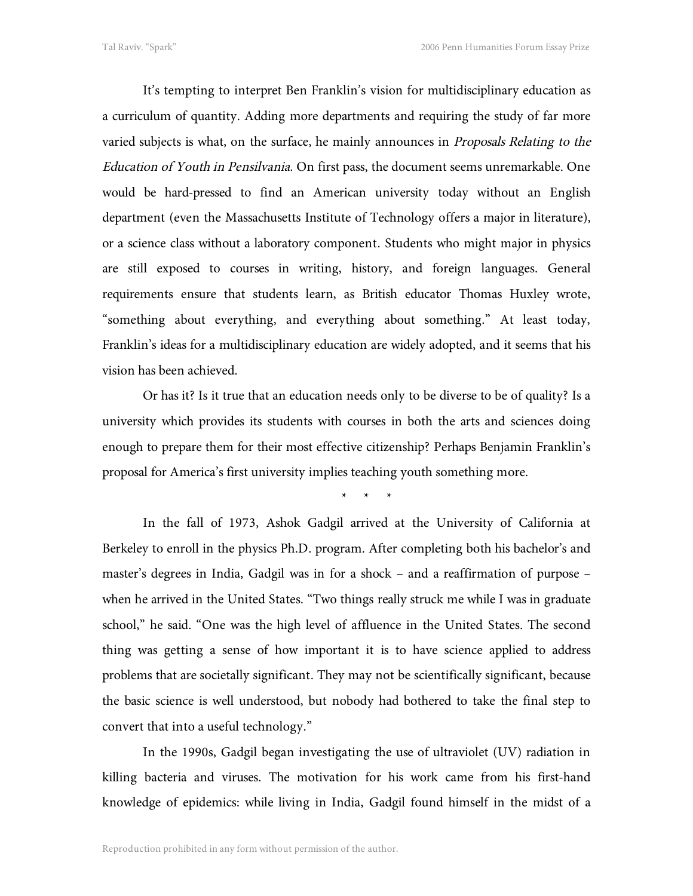It's tempting to interpret Ben Franklin's vision for multidisciplinary education as a curriculum of quantity. Adding more departments and requiring the study of far more varied subjects is what, on the surface, he mainly announces in Proposals Relating to the Education of Youth in Pensilvania. On first pass, the document seems unremarkable. One would be hard-pressed to find an American university today without an English department (even the Massachusetts Institute of Technology offers a major in literature), or a science class without a laboratory component. Students who might major in physics are still exposed to courses in writing, history, and foreign languages. General requirements ensure that students learn, as British educator Thomas Huxley wrote, "something about everything, and everything about something." At least today, Franklin's ideas for a multidisciplinary education are widely adopted, and it seems that his vision has been achieved.

Or has it? Is it true that an education needs only to be diverse to be of quality? Is a university which provides its students with courses in both the arts and sciences doing enough to prepare them for their most effective citizenship? Perhaps Benjamin Franklin's proposal for America's first university implies teaching youth something more.

\*\*\*

In the fall of 1973, Ashok Gadgil arrived at the University of California at Berkeley to enroll in the physics Ph.D. program. After completing both his bachelor's and master's degrees in India, Gadgil was in for a shock – and a reaffirmation of purpose – when he arrived in the United States. "Two things really struck me while I was in graduate school," he said. "One was the high level of affluence in the United States. The second thing was getting a sense of how important it is to have science applied to address problems that are societally significant. They may not be scientifically significant, because the basic science is well understood, but nobody had bothered to take the final step to convert that into a useful technology."

In the 1990s, Gadgil began investigating the use of ultraviolet (UV) radiation in killing bacteria and viruses. The motivation for his work came from his first-hand knowledge of epidemics: while living in India, Gadgil found himself in the midst of a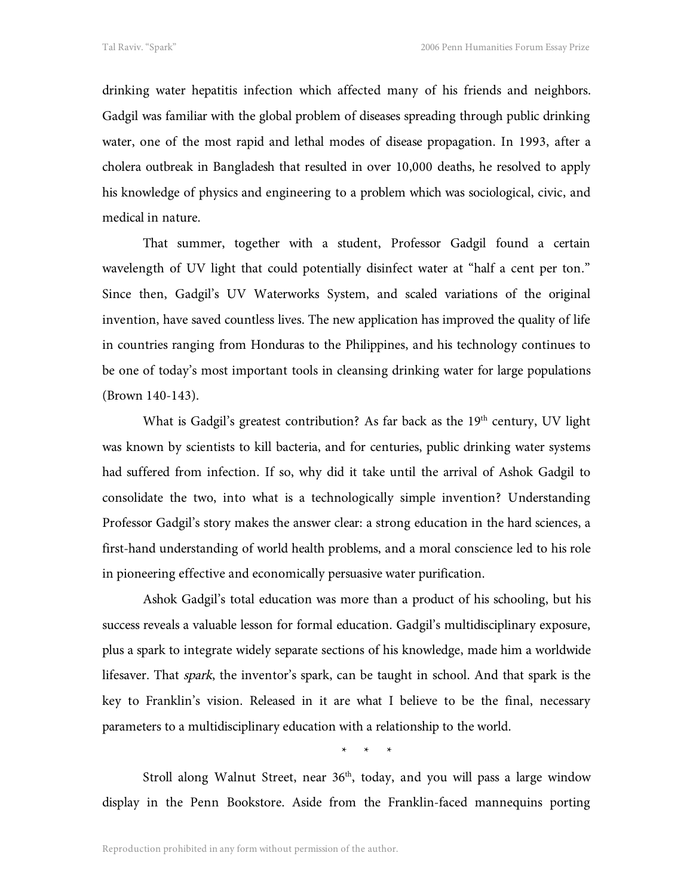drinking water hepatitis infection which affected many of his friends and neighbors. Gadgil was familiar with the global problem of diseases spreading through public drinking water, one of the most rapid and lethal modes of disease propagation. In 1993, after a cholera outbreak in Bangladesh that resulted in over 10,000 deaths, he resolved to apply his knowledge of physics and engineering to a problem which was sociological, civic, and medical in nature.

That summer, together with a student, Professor Gadgil found a certain wavelength of UV light that could potentially disinfect water at "half a cent per ton." Since then, Gadgil's UV Waterworks System, and scaled variations of the original invention, have saved countless lives. The new application has improved the quality of life in countries ranging from Honduras to the Philippines, and his technology continues to be one of today's most important tools in cleansing drinking water for large populations (Brown 140-143).

What is Gadgil's greatest contribution? As far back as the 19<sup>th</sup> century, UV light was known by scientists to kill bacteria, and for centuries, public drinking water systems had suffered from infection. If so, why did it take until the arrival of Ashok Gadgil to consolidate the two, into what is a technologically simple invention? Understanding Professor Gadgil's story makes the answer clear: a strong education in the hard sciences, a first-hand understanding of world health problems, and a moral conscience led to his role in pioneering effective and economically persuasive water purification.

Ashok Gadgil's total education was more than a product of his schooling, but his success reveals a valuable lesson for formal education. Gadgil's multidisciplinary exposure, plus a spark to integrate widely separate sections of his knowledge, made him a worldwide lifesaver. That *spark*, the inventor's spark, can be taught in school. And that spark is the key to Franklin's vision. Released in it are what I believe to be the final, necessary parameters to a multidisciplinary education with a relationship to the world.

\*\*\*

Stroll along Walnut Street, near  $36<sup>th</sup>$ , today, and you will pass a large window display in the Penn Bookstore. Aside from the Franklin-faced mannequins porting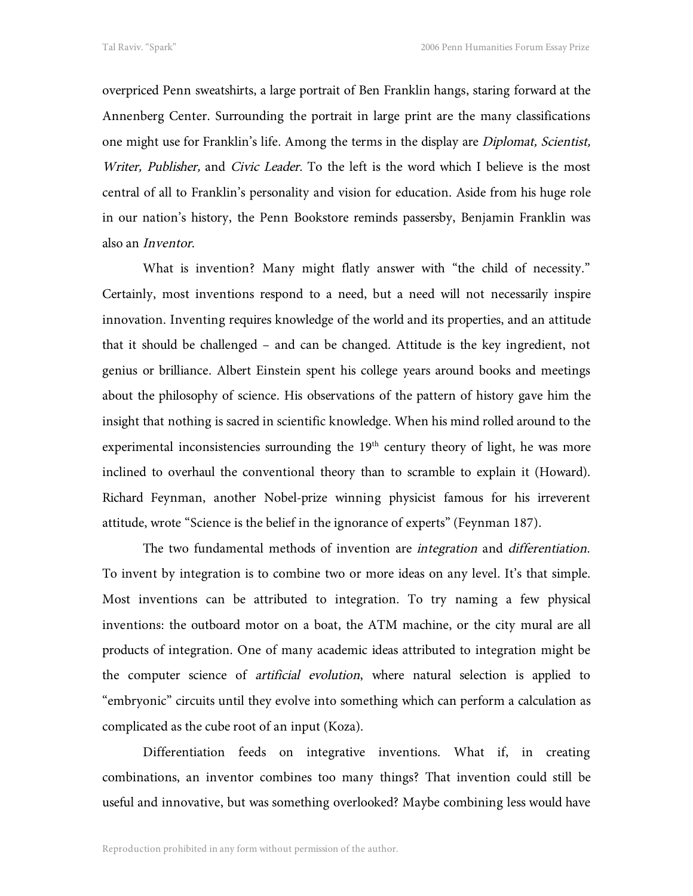overpriced Penn sweatshirts, a large portrait of Ben Franklin hangs, staring forward at the Annenberg Center. Surrounding the portrait in large print are the many classifications one might use for Franklin's life. Among the terms in the display are Diplomat, Scientist, Writer, Publisher, and Civic Leader. To the left is the word which I believe is the most central of all to Franklin's personality and vision for education. Aside from his huge role in our nation's history, the Penn Bookstore reminds passersby, Benjamin Franklin was also an Inventor.

What is invention? Many might flatly answer with "the child of necessity." Certainly, most inventions respond to a need, but a need will not necessarily inspire innovation. Inventing requires knowledge of the world and its properties, and an attitude that it should be challenged – and can be changed. Attitude is the key ingredient, not genius or brilliance. Albert Einstein spent his college years around books and meetings about the philosophy of science. His observations of the pattern of history gave him the insight that nothing is sacred in scientific knowledge. When his mind rolled around to the experimental inconsistencies surrounding the 19<sup>th</sup> century theory of light, he was more inclined to overhaul the conventional theory than to scramble to explain it (Howard). Richard Feynman, another Nobel-prize winning physicist famous for his irreverent attitude, wrote "Science is the belief in the ignorance of experts" (Feynman 187).

The two fundamental methods of invention are integration and differentiation. To invent by integration is to combine two or more ideas on any level. It's that simple. Most inventions can be attributed to integration. To try naming a few physical inventions: the outboard motor on a boat, the ATM machine, or the city mural are all products of integration. One of many academic ideas attributed to integration might be the computer science of artificial evolution, where natural selection is applied to "embryonic" circuits until they evolve into something which can perform a calculation as complicated as the cube root of an input (Koza).

Differentiation feeds on integrative inventions. What if, in creating combinations, an inventor combines too many things? That invention could still be useful and innovative, but was something overlooked? Maybe combining less would have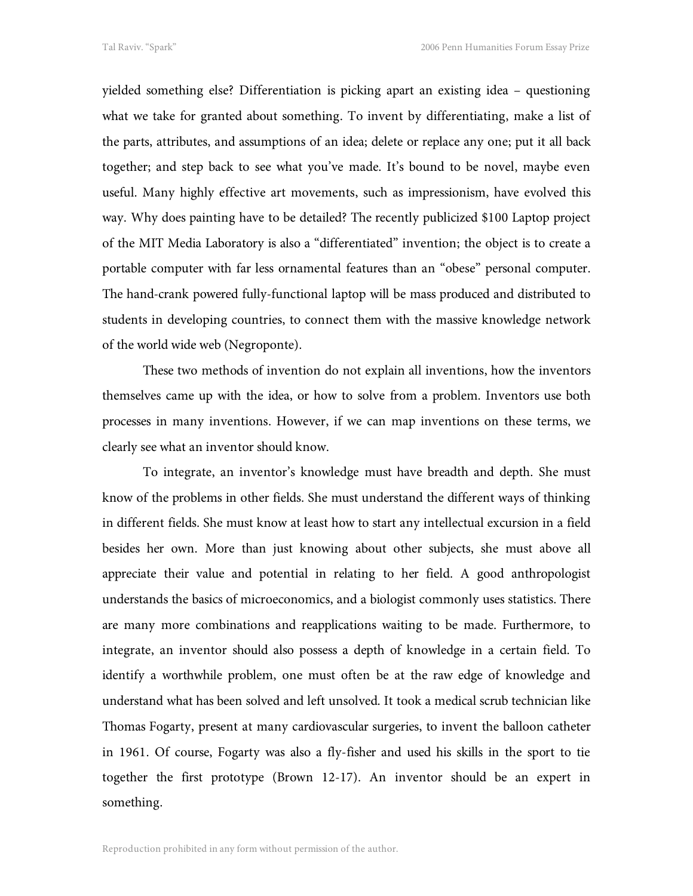yielded something else? Differentiation is picking apart an existing idea – questioning what we take for granted about something. To invent by differentiating, make a list of the parts, attributes, and assumptions of an idea; delete or replace any one; put it all back together; and step back to see what you've made. It's bound to be novel, maybe even useful. Many highly effective art movements, such as impressionism, have evolved this way. Why does painting have to be detailed? The recently publicized \$100 Laptop project of the MIT Media Laboratory is also a "differentiated" invention; the object is to create a portable computer with far less ornamental features than an "obese" personal computer. The hand-crank powered fully-functional laptop will be mass produced and distributed to students in developing countries, to connect them with the massive knowledge network of the world wide web (Negroponte).

These two methods of invention do not explain all inventions, how the inventors themselves came up with the idea, or how to solve from a problem. Inventors use both processes in many inventions. However, if we can map inventions on these terms, we clearly see what an inventor should know.

To integrate, an inventor's knowledge must have breadth and depth. She must know of the problems in other fields. She must understand the different ways of thinking in different fields. She must know at least how to start any intellectual excursion in a field besides her own. More than just knowing about other subjects, she must above all appreciate their value and potential in relating to her field. A good anthropologist understands the basics of microeconomics, and a biologist commonly uses statistics. There are many more combinations and reapplications waiting to be made. Furthermore, to integrate, an inventor should also possess a depth of knowledge in a certain field. To identify a worthwhile problem, one must often be at the raw edge of knowledge and understand what has been solved and left unsolved. It took a medical scrub technician like Thomas Fogarty, present at many cardiovascular surgeries, to invent the balloon catheter in 1961. Of course, Fogarty was also a fly-fisher and used his skills in the sport to tie together the first prototype (Brown 12-17). An inventor should be an expert in something.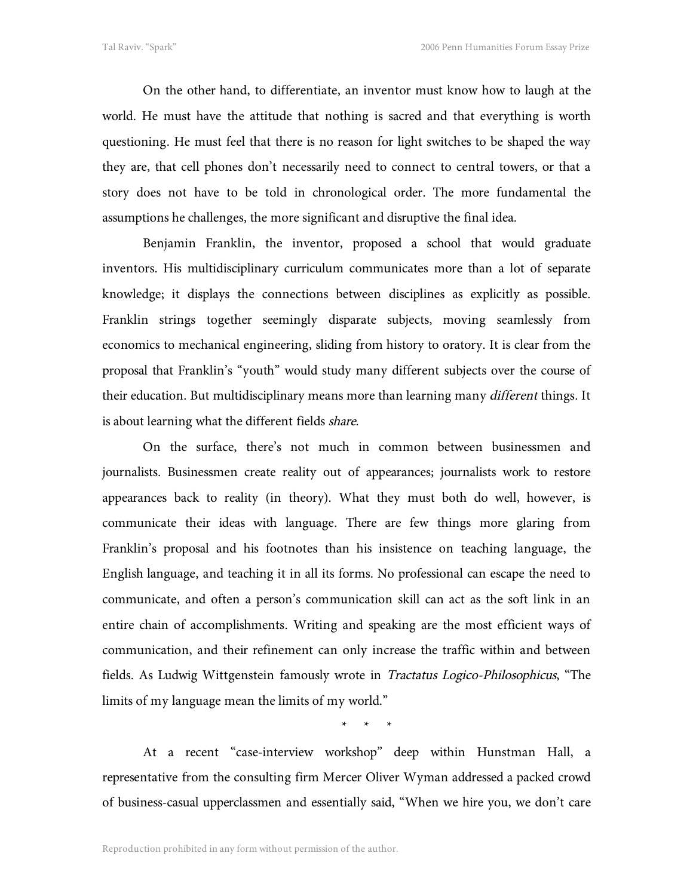On the other hand, to differentiate, an inventor must know how to laugh at the world. He must have the attitude that nothing is sacred and that everything is worth questioning. He must feel that there is no reason for light switches to be shaped the way they are, that cell phones don't necessarily need to connect to central towers, or that a story does not have to be told in chronological order. The more fundamental the assumptions he challenges, the more significant and disruptive the final idea.

Benjamin Franklin, the inventor, proposed a school that would graduate inventors. His multidisciplinary curriculum communicates more than a lot of separate knowledge; it displays the connections between disciplines as explicitly as possible. Franklin strings together seemingly disparate subjects, moving seamlessly from economics to mechanical engineering, sliding from history to oratory. It is clear from the proposal that Franklin's "youth" would study many different subjects over the course of their education. But multidisciplinary means more than learning many *different* things. It is about learning what the different fields share.

On the surface, there's not much in common between businessmen and journalists. Businessmen create reality out of appearances; journalists work to restore appearances back to reality (in theory). What they must both do well, however, is communicate their ideas with language. There are few things more glaring from Franklin's proposal and his footnotes than his insistence on teaching language, the English language, and teaching it in all its forms. No professional can escape the need to communicate, and often a person's communication skill can act as the soft link in an entire chain of accomplishments. Writing and speaking are the most efficient ways of communication, and their refinement can only increase the traffic within and between fields. As Ludwig Wittgenstein famously wrote in Tractatus Logico-Philosophicus, "The limits of my language mean the limits of my world."

\*\*\*

At a recent "case-interview workshop" deep within Hunstman Hall, a representative from the consulting firm Mercer Oliver Wyman addressed a packed crowd of business-casual upperclassmen and essentially said, "When we hire you, we don't care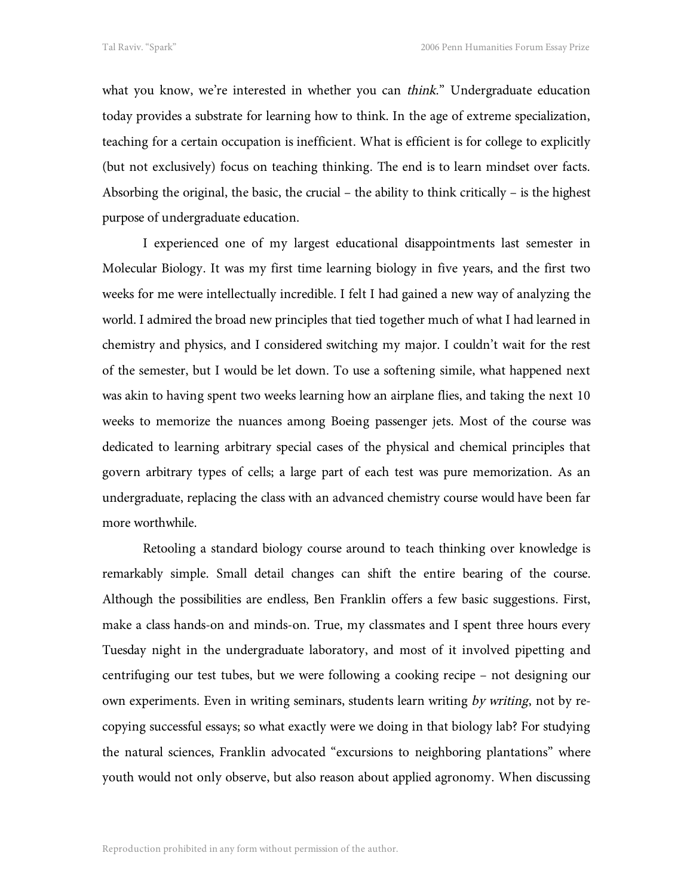what you know, we're interested in whether you can think." Undergraduate education today provides a substrate for learning how to think. In the age of extreme specialization, teaching for a certain occupation is inefficient. What is efficient is for college to explicitly (but not exclusively) focus on teaching thinking. The end is to learn mindset over facts. Absorbing the original, the basic, the crucial – the ability to think critically – is the highest purpose of undergraduate education.

I experienced one of my largest educational disappointments last semester in Molecular Biology. It was my first time learning biology in five years, and the first two weeks for me were intellectually incredible. I felt I had gained a new way of analyzing the world. I admired the broad new principles that tied together much of what I had learned in chemistry and physics, and I considered switching my major. I couldn't wait for the rest of the semester, but I would be let down. To use a softening simile, what happened next was akin to having spent two weeks learning how an airplane flies, and taking the next 10 weeks to memorize the nuances among Boeing passenger jets. Most of the course was dedicated to learning arbitrary special cases of the physical and chemical principles that govern arbitrary types of cells; a large part of each test was pure memorization. As an undergraduate, replacing the class with an advanced chemistry course would have been far more worthwhile.

Retooling a standard biology course around to teach thinking over knowledge is remarkably simple. Small detail changes can shift the entire bearing of the course. Although the possibilities are endless, Ben Franklin offers a few basic suggestions. First, make a class hands-on and minds-on. True, my classmates and I spent three hours every Tuesday night in the undergraduate laboratory, and most of it involved pipetting and centrifuging our test tubes, but we were following a cooking recipe – not designing our own experiments. Even in writing seminars, students learn writing by writing, not by recopying successful essays; so what exactly were we doing in that biology lab? For studying the natural sciences, Franklin advocated "excursions to neighboring plantations" where youth would not only observe, but also reason about applied agronomy. When discussing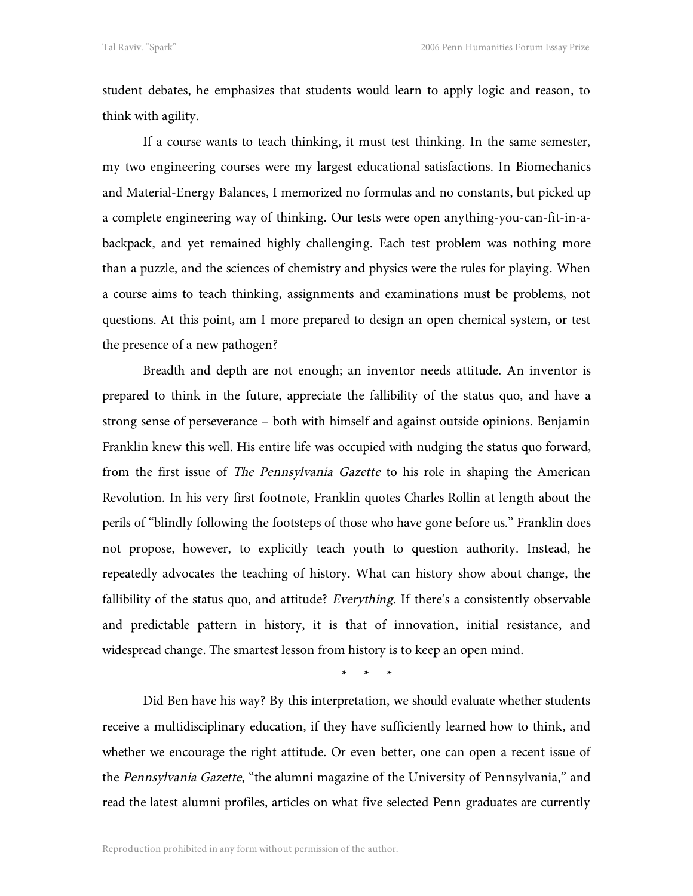student debates, he emphasizes that students would learn to apply logic and reason, to think with agility.

If a course wants to teach thinking, it must test thinking. In the same semester, my two engineering courses were my largest educational satisfactions. In Biomechanics and Material-Energy Balances, I memorized no formulas and no constants, but picked up a complete engineering way of thinking. Our tests were open anything-you-can-fit-in-abackpack, and yet remained highly challenging. Each test problem was nothing more than a puzzle, and the sciences of chemistry and physics were the rules for playing. When a course aims to teach thinking, assignments and examinations must be problems, not questions. At this point, am I more prepared to design an open chemical system, or test the presence of a new pathogen?

Breadth and depth are not enough; an inventor needs attitude. An inventor is prepared to think in the future, appreciate the fallibility of the status quo, and have a strong sense of perseverance – both with himself and against outside opinions. Benjamin Franklin knew this well. His entire life was occupied with nudging the status quo forward, from the first issue of The Pennsylvania Gazette to his role in shaping the American Revolution. In his very first footnote, Franklin quotes Charles Rollin at length about the perils of "blindly following the footsteps of those who have gone before us." Franklin does not propose, however, to explicitly teach youth to question authority. Instead, he repeatedly advocates the teaching of history. What can history show about change, the fallibility of the status quo, and attitude? Everything. If there's a consistently observable and predictable pattern in history, it is that of innovation, initial resistance, and widespread change. The smartest lesson from history is to keep an open mind.

\*\*\*

Did Ben have his way? By this interpretation, we should evaluate whether students receive a multidisciplinary education, if they have sufficiently learned how to think, and whether we encourage the right attitude. Or even better, one can open a recent issue of the Pennsylvania Gazette, "the alumni magazine of the University of Pennsylvania," and read the latest alumni profiles, articles on what five selected Penn graduates are currently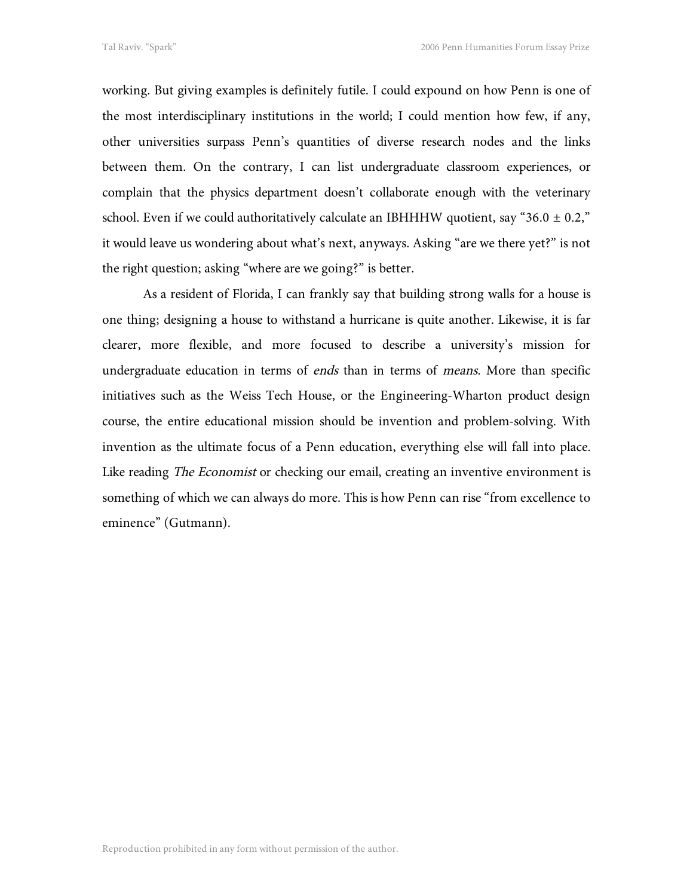working. But giving examples is definitely futile. I could expound on how Penn is one of the most interdisciplinary institutions in the world; I could mention how few, if any, other universities surpass Penn's quantities of diverse research nodes and the links between them. On the contrary, I can list undergraduate classroom experiences, or complain that the physics department doesn't collaborate enough with the veterinary school. Even if we could authoritatively calculate an IBHHHW quotient, say "36.0  $\pm$  0.2," it would leave us wondering about what's next, anyways. Asking "are we there yet?" is not the right question; asking "where are we going?" is better.

As a resident of Florida, I can frankly say that building strong walls for a house is one thing; designing a house to withstand a hurricane is quite another. Likewise, it is far clearer, more flexible, and more focused to describe a university's mission for undergraduate education in terms of ends than in terms of means. More than specific initiatives such as the Weiss Tech House, or the Engineering-Wharton product design course, the entire educational mission should be invention and problem-solving. With invention as the ultimate focus of a Penn education, everything else will fall into place. Like reading *The Economist* or checking our email, creating an inventive environment is something of which we can always do more. This is how Penn can rise "from excellence to eminence" (Gutmann).